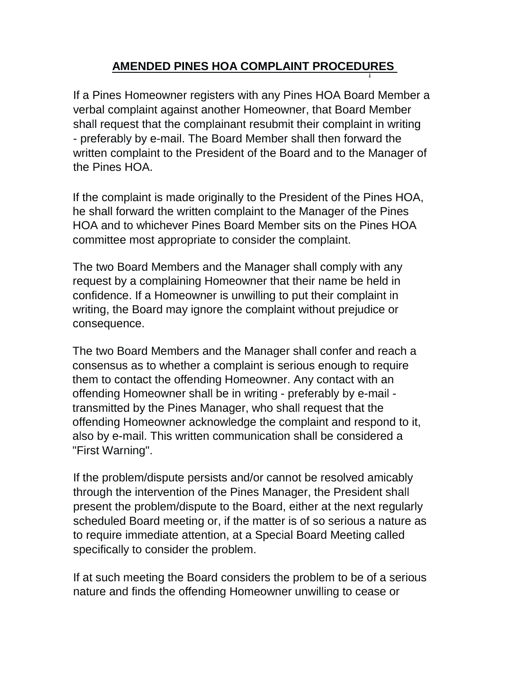## **AMENDED PINES HOA COMPLAINT PROCEDURES**  j

If a Pines Homeowner registers with any Pines HOA Board Member a verbal complaint against another Homeowner, that Board Member shall request that the complainant resubmit their complaint in writing - preferably by e-mail. The Board Member shall then forward the written complaint to the President of the Board and to the Manager of the Pines HOA.

If the complaint is made originally to the President of the Pines HOA, he shall forward the written complaint to the Manager of the Pines HOA and to whichever Pines Board Member sits on the Pines HOA committee most appropriate to consider the complaint.

The two Board Members and the Manager shall comply with any request by a complaining Homeowner that their name be held in confidence. If a Homeowner is unwilling to put their complaint in writing, the Board may ignore the complaint without prejudice or consequence.

The two Board Members and the Manager shall confer and reach a consensus as to whether a complaint is serious enough to require them to contact the offending Homeowner. Any contact with an offending Homeowner shall be in writing - preferably by e-mail transmitted by the Pines Manager, who shall request that the offending Homeowner acknowledge the complaint and respond to it, also by e-mail. This written communication shall be considered a "First Warning".

If the problem/dispute persists and/or cannot be resolved amicably through the intervention of the Pines Manager, the President shall present the problem/dispute to the Board, either at the next regularly scheduled Board meeting or, if the matter is of so serious a nature as to require immediate attention, at a Special Board Meeting called specifically to consider the problem.

If at such meeting the Board considers the problem to be of a serious nature and finds the offending Homeowner unwilling to cease or